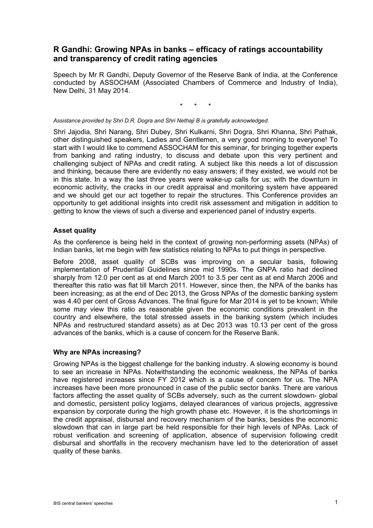# **R Gandhi: Growing NPAs in banks – efficacy of ratings accountability and transparency of credit rating agencies**

Speech by Mr R Gandhi, Deputy Governor of the Reserve Bank of India, at the Conference conducted by ASSOCHAM (Associated Chambers of Commerce and Industry of India), New Delhi, 31 May 2014.

\* \* \*

*Assistance provided by Shri D.R. Dogra and Shri Nethaji B is gratefully acknowledged.* 

Shri Jajodia, Shri Narang, Shri Dubey, Shri Kulkarni, Shri Dogra, Shri Khanna, Shri Pathak, other distinguished speakers, Ladies and Gentlemen, a very good morning to everyone! To start with I would like to commend ASSOCHAM for this seminar, for bringing together experts from banking and rating industry, to discuss and debate upon this very pertinent and challenging subject of NPAs and credit rating. A subject like this needs a lot of discussion and thinking, because there are evidently no easy answers; if they existed, we would not be in this state. In a way the last three years were wake-up calls for us; with the downturn in economic activity, the cracks in our credit appraisal and monitoring system have appeared and we should get our act together to repair the structures. This Conference provides an opportunity to get additional insights into credit risk assessment and mitigation in addition to getting to know the views of such a diverse and experienced panel of industry experts.

## **Asset quality**

As the conference is being held in the context of growing non-performing assets (NPAs) of Indian banks, let me begin with few statistics relating to NPAs to put things in perspective.

Before 2008, asset quality of SCBs was improving on a secular basis, following implementation of Prudential Guidelines since mid 1990s. The GNPA ratio had declined sharply from 12.0 per cent as at end March 2001 to 3.5 per cent as at end March 2006 and thereafter this ratio was flat till March 2011. However, since then, the NPA of the banks has been increasing; as at the end of Dec 2013, the Gross NPAs of the domestic banking system was 4.40 per cent of Gross Advances. The final figure for Mar 2014 is yet to be known; While some may view this ratio as reasonable given the economic conditions prevalent in the country and elsewhere, the total stressed assets in the banking system (which includes NPAs and restructured standard assets) as at Dec 2013 was 10.13 per cent of the gross advances of the banks, which is a cause of concern for the Reserve Bank.

## **Why are NPAs increasing?**

Growing NPAs is the biggest challenge for the banking industry. A slowing economy is bound to see an increase in NPAs. Notwithstanding the economic weakness, the NPAs of banks have registered increases since FY 2012 which is a cause of concern for us. The NPA increases have been more pronounced in case of the public sector banks. There are various factors affecting the asset quality of SCBs adversely, such as the current slowdown- global and domestic, persistent policy logjams, delayed clearances of various projects, aggressive expansion by corporate during the high growth phase etc. However, it is the shortcomings in the credit appraisal, disbursal and recovery mechanism of the banks, besides the economic slowdown that can in large part be held responsible for their high levels of NPAs. Lack of robust verification and screening of application, absence of supervision following credit disbursal and shortfalls in the recovery mechanism have led to the deterioration of asset quality of these banks.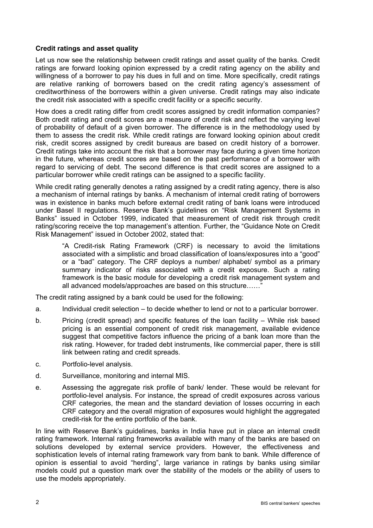## **Credit ratings and asset quality**

Let us now see the relationship between credit ratings and asset quality of the banks. Credit ratings are forward looking opinion expressed by a credit rating agency on the ability and willingness of a borrower to pay his dues in full and on time. More specifically, credit ratings are relative ranking of borrowers based on the credit rating agency's assessment of creditworthiness of the borrowers within a given universe. Credit ratings may also indicate the credit risk associated with a specific credit facility or a specific security.

How does a credit rating differ from credit scores assigned by credit information companies? Both credit rating and credit scores are a measure of credit risk and reflect the varying level of probability of default of a given borrower. The difference is in the methodology used by them to assess the credit risk. While credit ratings are forward looking opinion about credit risk, credit scores assigned by credit bureaus are based on credit history of a borrower. Credit ratings take into account the risk that a borrower may face during a given time horizon in the future, whereas credit scores are based on the past performance of a borrower with regard to servicing of debt. The second difference is that credit scores are assigned to a particular borrower while credit ratings can be assigned to a specific facility.

While credit rating generally denotes a rating assigned by a credit rating agency, there is also a mechanism of internal ratings by banks. A mechanism of internal credit rating of borrowers was in existence in banks much before external credit rating of bank loans were introduced under Basel II regulations. Reserve Bank's guidelines on "Risk Management Systems in Banks" issued in October 1999, indicated that measurement of credit risk through credit rating/scoring receive the top management's attention. Further, the "Guidance Note on Credit Risk Management" issued in October 2002, stated that:

 "A Credit-risk Rating Framework (CRF) is necessary to avoid the limitations associated with a simplistic and broad classification of loans/exposures into a "good" or a "bad" category. The CRF deploys a number/ alphabet/ symbol as a primary summary indicator of risks associated with a credit exposure. Such a rating framework is the basic module for developing a credit risk management system and all advanced models/approaches are based on this structure......'

The credit rating assigned by a bank could be used for the following:

- a. Individual credit selection to decide whether to lend or not to a particular borrower.
- b. Pricing (credit spread) and specific features of the loan facility While risk based pricing is an essential component of credit risk management, available evidence suggest that competitive factors influence the pricing of a bank loan more than the risk rating. However, for traded debt instruments, like commercial paper, there is still link between rating and credit spreads.
- c. Portfolio-level analysis.
- d. Surveillance, monitoring and internal MIS.
- e. Assessing the aggregate risk profile of bank/ lender. These would be relevant for portfolio-level analysis. For instance, the spread of credit exposures across various CRF categories, the mean and the standard deviation of losses occurring in each CRF category and the overall migration of exposures would highlight the aggregated credit-risk for the entire portfolio of the bank.

In line with Reserve Bank's guidelines, banks in India have put in place an internal credit rating framework. Internal rating frameworks available with many of the banks are based on solutions developed by external service providers. However, the effectiveness and sophistication levels of internal rating framework vary from bank to bank. While difference of opinion is essential to avoid "herding", large variance in ratings by banks using similar models could put a question mark over the stability of the models or the ability of users to use the models appropriately.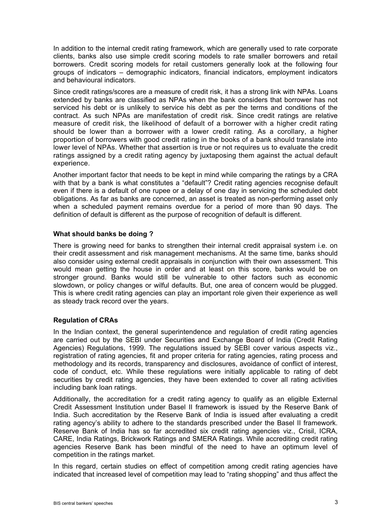In addition to the internal credit rating framework, which are generally used to rate corporate clients, banks also use simple credit scoring models to rate smaller borrowers and retail borrowers. Credit scoring models for retail customers generally look at the following four groups of indicators – demographic indicators, financial indicators, employment indicators and behavioural indicators.

Since credit ratings/scores are a measure of credit risk, it has a strong link with NPAs. Loans extended by banks are classified as NPAs when the bank considers that borrower has not serviced his debt or is unlikely to service his debt as per the terms and conditions of the contract. As such NPAs are manifestation of credit risk. Since credit ratings are relative measure of credit risk, the likelihood of default of a borrower with a higher credit rating should be lower than a borrower with a lower credit rating. As a corollary, a higher proportion of borrowers with good credit rating in the books of a bank should translate into lower level of NPAs. Whether that assertion is true or not requires us to evaluate the credit ratings assigned by a credit rating agency by juxtaposing them against the actual default experience.

Another important factor that needs to be kept in mind while comparing the ratings by a CRA with that by a bank is what constitutes a "default"? Credit rating agencies recognise default even if there is a default of one rupee or a delay of one day in servicing the scheduled debt obligations. As far as banks are concerned, an asset is treated as non-performing asset only when a scheduled payment remains overdue for a period of more than 90 days. The definition of default is different as the purpose of recognition of default is different.

## **What should banks be doing ?**

There is growing need for banks to strengthen their internal credit appraisal system i.e. on their credit assessment and risk management mechanisms. At the same time, banks should also consider using external credit appraisals in conjunction with their own assessment. This would mean getting the house in order and at least on this score, banks would be on stronger ground. Banks would still be vulnerable to other factors such as economic slowdown, or policy changes or wilful defaults. But, one area of concern would be plugged. This is where credit rating agencies can play an important role given their experience as well as steady track record over the years.

## **Regulation of CRAs**

In the Indian context, the general superintendence and regulation of credit rating agencies are carried out by the SEBI under Securities and Exchange Board of India (Credit Rating Agencies) Regulations, 1999. The regulations issued by SEBI cover various aspects viz., registration of rating agencies, fit and proper criteria for rating agencies, rating process and methodology and its records, transparency and disclosures, avoidance of conflict of interest, code of conduct, etc. While these regulations were initially applicable to rating of debt securities by credit rating agencies, they have been extended to cover all rating activities including bank loan ratings.

Additionally, the accreditation for a credit rating agency to qualify as an eligible External Credit Assessment Institution under Basel II framework is issued by the Reserve Bank of India. Such accreditation by the Reserve Bank of India is issued after evaluating a credit rating agency's ability to adhere to the standards prescribed under the Basel II framework. Reserve Bank of India has so far accredited six credit rating agencies viz., Crisil, ICRA, CARE, India Ratings, Brickwork Ratings and SMERA Ratings. While accrediting credit rating agencies Reserve Bank has been mindful of the need to have an optimum level of competition in the ratings market.

In this regard, certain studies on effect of competition among credit rating agencies have indicated that increased level of competition may lead to "rating shopping" and thus affect the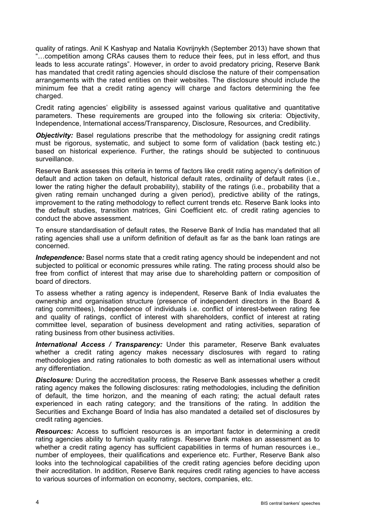quality of ratings. Anil K Kashyap and Natalia Kovrijnykh (September 2013) have shown that "…competition among CRAs causes them to reduce their fees, put in less effort, and thus leads to less accurate ratings". However, in order to avoid predatory pricing, Reserve Bank has mandated that credit rating agencies should disclose the nature of their compensation arrangements with the rated entities on their websites. The disclosure should include the minimum fee that a credit rating agency will charge and factors determining the fee charged.

Credit rating agencies' eligibility is assessed against various qualitative and quantitative parameters. These requirements are grouped into the following six criteria: Objectivity, Independence, International access/Transparency, Disclosure, Resources, and Credibility.

*Objectivity:* Basel regulations prescribe that the methodology for assigning credit ratings must be rigorous, systematic, and subject to some form of validation (back testing etc.) based on historical experience. Further, the ratings should be subjected to continuous surveillance.

Reserve Bank assesses this criteria in terms of factors like credit rating agency's definition of default and action taken on default, historical default rates, ordinality of default rates (i.e., lower the rating higher the default probability), stability of the ratings (i.e., probability that a given rating remain unchanged during a given period), predictive ability of the ratings, improvement to the rating methodology to reflect current trends etc. Reserve Bank looks into the default studies, transition matrices, Gini Coefficient etc. of credit rating agencies to conduct the above assessment.

To ensure standardisation of default rates, the Reserve Bank of India has mandated that all rating agencies shall use a uniform definition of default as far as the bank loan ratings are concerned.

*Independence:* Basel norms state that a credit rating agency should be independent and not subjected to political or economic pressures while rating. The rating process should also be free from conflict of interest that may arise due to shareholding pattern or composition of board of directors.

To assess whether a rating agency is independent, Reserve Bank of India evaluates the ownership and organisation structure (presence of independent directors in the Board & rating committees), Independence of individuals i.e. conflict of interest-between rating fee and quality of ratings, conflict of interest with shareholders, conflict of interest at rating committee level, separation of business development and rating activities, separation of rating business from other business activities.

*International Access / Transparency:* Under this parameter, Reserve Bank evaluates whether a credit rating agency makes necessary disclosures with regard to rating methodologies and rating rationales to both domestic as well as international users without any differentiation.

*Disclosure:* During the accreditation process, the Reserve Bank assesses whether a credit rating agency makes the following disclosures: rating methodologies, including the definition of default, the time horizon, and the meaning of each rating; the actual default rates experienced in each rating category; and the transitions of the rating. In addition the Securities and Exchange Board of India has also mandated a detailed set of disclosures by credit rating agencies.

*Resources:* Access to sufficient resources is an important factor in determining a credit rating agencies ability to furnish quality ratings. Reserve Bank makes an assessment as to whether a credit rating agency has sufficient capabilities in terms of human resources i.e., number of employees, their qualifications and experience etc. Further, Reserve Bank also looks into the technological capabilities of the credit rating agencies before deciding upon their accreditation. In addition, Reserve Bank requires credit rating agencies to have access to various sources of information on economy, sectors, companies, etc.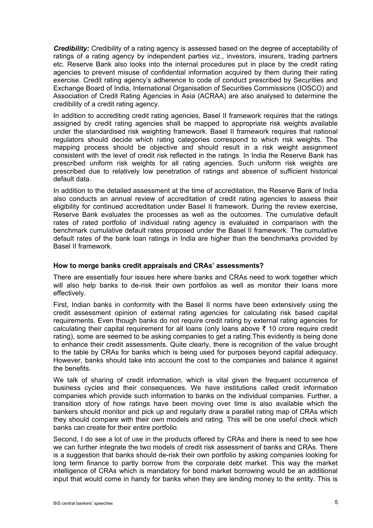*Credibility:* Credibility of a rating agency is assessed based on the degree of acceptability of ratings of a rating agency by independent parties viz., investors, insurers, trading partners etc. Reserve Bank also looks into the internal procedures put in place by the credit rating agencies to prevent misuse of confidential information acquired by them during their rating exercise. Credit rating agency's adherence to code of conduct prescribed by Securities and Exchange Board of India, International Organisation of Securities Commissions (IOSCO) and Association of Credit Rating Agencies in Asia (ACRAA) are also analysed to determine the credibility of a credit rating agency.

In addition to accrediting credit rating agencies, Basel II framework requires that the ratings assigned by credit rating agencies shall be mapped to appropriate risk weights available under the standardised risk weighting framework. Basel II framework requires that national regulators should decide which rating categories correspond to which risk weights. The mapping process should be objective and should result in a risk weight assignment consistent with the level of credit risk reflected in the ratings. In India the Reserve Bank has prescribed uniform risk weights for all rating agencies. Such uniform risk weights are prescribed due to relatively low penetration of ratings and absence of sufficient historical default data.

In addition to the detailed assessment at the time of accreditation, the Reserve Bank of India also conducts an annual review of accreditation of credit rating agencies to assess their eligibility for continued accreditation under Basel II framework. During the review exercise, Reserve Bank evaluates the processes as well as the outcomes. The cumulative default rates of rated portfolio of individual rating agency is evaluated in comparison with the benchmark cumulative default rates proposed under the Basel II framework. The cumulative default rates of the bank loan ratings in India are higher than the benchmarks provided by Basel II framework.

### **How to merge banks credit appraisals and CRAs' assessments?**

There are essentially four issues here where banks and CRAs need to work together which will also help banks to de-risk their own portfolios as well as monitor their loans more effectively.

First, Indian banks in conformity with the Basel II norms have been extensively using the credit assessment opinion of external rating agencies for calculating risk based capital requirements. Even though banks do not require credit rating by external rating agencies for calculating their capital requirement for all loans (only loans above ₹ 10 crore require credit rating), some are seemed to be asking companies to get a rating.This evidently is being done to enhance their credit assessments. Quite clearly, there is recognition of the value brought to the table by CRAs for banks which is being used for purposes beyond capital adequacy. However, banks should take into account the cost to the companies and balance it against the benefits.

We talk of sharing of credit information, which is vital given the frequent occurrence of business cycles and their consequences. We have institutions called credit information companies which provide such information to banks on the individual companies. Further, a transition story of how ratings have been moving over time is also available which the bankers should monitor and pick up and regularly draw a parallel rating map of CRAs which they should compare with their own models and rating. This will be one useful check which banks can create for their entire portfolio.

Second, I do see a lot of use in the products offered by CRAs and there is need to see how we can further integrate the two models of credit risk assessment of banks and CRAs. There is a suggestion that banks should de-risk their own portfolio by asking companies looking for long term finance to partly borrow from the corporate debt market*.* This way the market intelligence of CRAs which is mandatory for bond market borrowing would be an additional input that would come in handy for banks when they are lending money to the entity. This is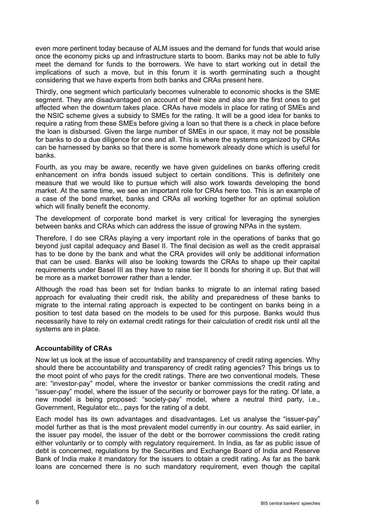even more pertinent today because of ALM issues and the demand for funds that would arise once the economy picks up and infrastructure starts to boom. Banks may not be able to fully meet the demand for funds to the borrowers. We have to start working out in detail the implications of such a move, but in this forum it is worth germinating such a thought considering that we have experts from both banks and CRAs present here.

Thirdly, one segment which particularly becomes vulnerable to economic shocks is the SME segment. They are disadvantaged on account of their size and also are the first ones to get affected when the downturn takes place. CRAs have models in place for rating of SMEs and the NSIC scheme gives a subsidy to SMEs for the rating. It will be a good idea for banks to require a rating from these SMEs before giving a loan so that there is a check in place before the loan is disbursed. Given the large number of SMEs in our space, it may not be possible for banks to do a due diligence for one and all. This is where the systems organized by CRAs can be harnessed by banks so that there is some homework already done which is useful for banks.

Fourth, as you may be aware, recently we have given guidelines on banks offering credit enhancement on infra bonds issued subject to certain conditions. This is definitely one measure that we would like to pursue which will also work towards developing the bond market. At the same time, we see an important role for CRAs here too. This is an example of a case of the bond market, banks and CRAs all working together for an optimal solution which will finally benefit the economy.

The development of corporate bond market is very critical for leveraging the synergies between banks and CRAs which can address the issue of growing NPAs in the system.

Therefore, I do see CRAs playing a very important role in the operations of banks that go beyond just capital adequacy and Basel II. The final decision as well as the credit appraisal has to be done by the bank and what the CRA provides will only be additional information that can be used. Banks will also be looking towards the CRAs to shape up their capital requirements under Basel III as they have to raise tier II bonds for shoring it up. But that will be more as a market borrower rather than a lender.

Although the road has been set for Indian banks to migrate to an internal rating based approach for evaluating their credit risk, the ability and preparedness of these banks to migrate to the internal rating approach is expected to be contingent on banks being in a position to test data based on the models to be used for this purpose. Banks would thus necessarily have to rely on external credit ratings for their calculation of credit risk until all the systems are in place.

## **Accountability of CRAs**

Now let us look at the issue of accountability and transparency of credit rating agencies. Why should there be accountability and transparency of credit rating agencies? This brings us to the moot point of who pays for the credit ratings. There are two conventional models. These are: "investor-pay" model, where the investor or banker commissions the credit rating and "issuer-pay" model, where the issuer of the security or borrower pays for the rating. Of late, a new model is being proposed: "society-pay" model, where a neutral third party, i.e., Government, Regulator etc., pays for the rating of a debt.

Each model has its own advantages and disadvantages. Let us analyse the "issuer-pay" model further as that is the most prevalent model currently in our country. As said earlier, in the issuer pay model, the issuer of the debt or the borrower commissions the credit rating either voluntarily or to comply with regulatory requirement. In India, as far as public issue of debt is concerned, regulations by the Securities and Exchange Board of India and Reserve Bank of India make it mandatory for the issuers to obtain a credit rating. As far as the bank loans are concerned there is no such mandatory requirement, even though the capital